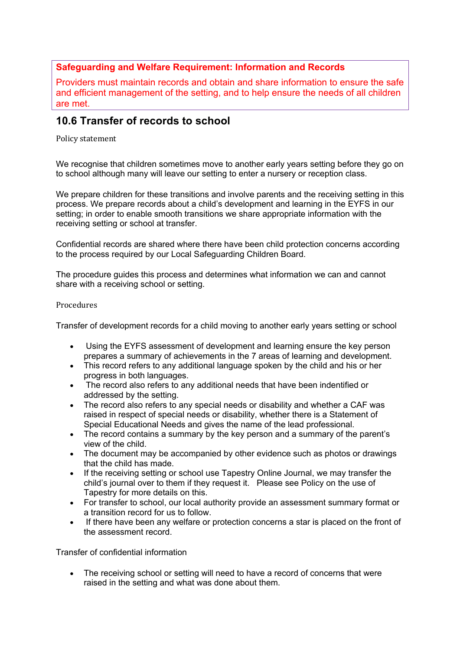## **Safeguarding and Welfare Requirement: Information and Records**

Providers must maintain records and obtain and share information to ensure the safe and efficient management of the setting, and to help ensure the needs of all children are met.

## **10.6 Transfer of records to school**

Policy statement 

We recognise that children sometimes move to another early years setting before they go on to school although many will leave our setting to enter a nursery or reception class.

We prepare children for these transitions and involve parents and the receiving setting in this process. We prepare records about a child's development and learning in the EYFS in our setting; in order to enable smooth transitions we share appropriate information with the receiving setting or school at transfer.

Confidential records are shared where there have been child protection concerns according to the process required by our Local Safeguarding Children Board.

The procedure guides this process and determines what information we can and cannot share with a receiving school or setting.

## Procedures

Transfer of development records for a child moving to another early years setting or school

- Using the EYFS assessment of development and learning ensure the key person prepares a summary of achievements in the 7 areas of learning and development.
- This record refers to any additional language spoken by the child and his or her progress in both languages.
- The record also refers to any additional needs that have been indentified or addressed by the setting.
- The record also refers to any special needs or disability and whether a CAF was raised in respect of special needs or disability, whether there is a Statement of Special Educational Needs and gives the name of the lead professional.
- The record contains a summary by the key person and a summary of the parent's view of the child.
- The document may be accompanied by other evidence such as photos or drawings that the child has made.
- If the receiving setting or school use Tapestry Online Journal, we may transfer the child's journal over to them if they request it. Please see Policy on the use of Tapestry for more details on this.
- For transfer to school, our local authority provide an assessment summary format or a transition record for us to follow.
- If there have been any welfare or protection concerns a star is placed on the front of the assessment record.

Transfer of confidential information

• The receiving school or setting will need to have a record of concerns that were raised in the setting and what was done about them.